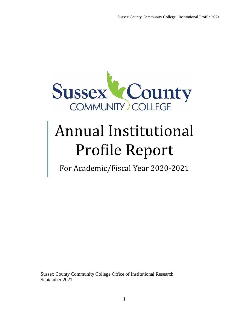

# Annual Institutional Profile Report

For Academic/Fiscal Year 2020-2021

Sussex County Community College Office of Institutional Research September 2021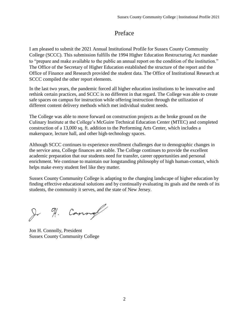# Preface

I am pleased to submit the 2021 Annual Institutional Profile for Sussex County Community College (SCCC). This submission fulfills the 1994 Higher Education Restructuring Act mandate to "prepare and make available to the public an annual report on the condition of the institution." The Office of the Secretary of Higher Education established the structure of the report and the Office of Finance and Research provided the student data. The Office of Institutional Research at SCCC compiled the other report elements.

In the last two years, the pandemic forced all higher education institutions to be innovative and rethink certain practices, and SCCC is no different in that regard. The College was able to create safe spaces on campus for instruction while offering instruction through the utilization of different content delivery methods which met individual student needs.

The College was able to move forward on construction projects as the broke ground on the Culinary Institute at the College's McGuire Technical Education Center (MTEC) and completed construction of a 13,000 sq. ft. addition to the Performing Arts Center, which includes a makerspace, lecture hall, and other high-technology spaces.

Although SCCC continues to experience enrollment challenges due to demographic changes in the service area, College finances are stable. The College continues to provide the excellent academic preparation that our students need for transfer, career opportunities and personal enrichment. We continue to maintain our longstanding philosophy of high human-contact, which helps make every student feel like they matter.

Sussex County Community College is adapting to the changing landscape of higher education by finding effective educational solutions and by continually evaluating its goals and the needs of its students, the community it serves, and the state of New Jersey.

Jr H. Cannof

Jon H. Connolly, President Sussex County Community College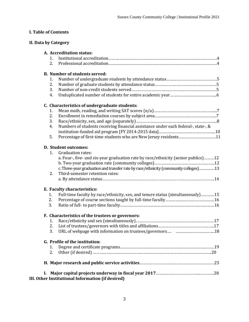# **I. Table of Contents**

#### **II. Data by Category**

|    | A. Accreditation status:                                                                |
|----|-----------------------------------------------------------------------------------------|
|    | 1.                                                                                      |
|    | 2.                                                                                      |
|    | <b>B. Number of students served:</b>                                                    |
|    | 1.                                                                                      |
|    | 2.                                                                                      |
|    | 3.                                                                                      |
|    | 4.                                                                                      |
|    | C. Characteristics of undergraduate students:                                           |
|    | 1.                                                                                      |
|    | 2.                                                                                      |
|    | 3.                                                                                      |
|    | Numbers of students receiving financial assistance under each federal-, state-, &<br>4. |
|    |                                                                                         |
|    | Percentage of first-time students who are New Jersey residents11<br>5.                  |
|    | D. Student outcomes:                                                                    |
|    | 1.<br><b>Graduation rates:</b>                                                          |
|    | a. Four-, five- and six-year graduation rate by race/ethnicity (senior publics)12       |
|    |                                                                                         |
|    | c. Three-year graduation and transfer rate by race/ethnicity (community colleges)13     |
|    | Third-semester retention rates:<br>2.                                                   |
|    |                                                                                         |
|    | E. Faculty characteristics:                                                             |
|    | Full-time faculty by race/ethnicity, sex, and tenure status (simultaneously)15<br>1.    |
|    | 2.                                                                                      |
|    | 3.                                                                                      |
|    | F. Characteristics of the trustees or governors:                                        |
|    | 1.                                                                                      |
|    | 2.                                                                                      |
|    | 3.                                                                                      |
|    | G. Profile of the institution:                                                          |
|    | 1.                                                                                      |
|    | 2.                                                                                      |
|    |                                                                                         |
| L. |                                                                                         |
|    | III. Other Institutional Information (if desired)                                       |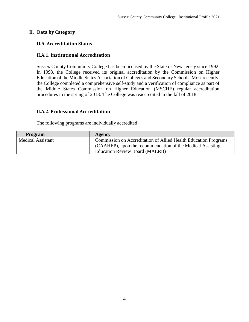#### **II. Data by Category**

# **II.A. Accreditation Status**

#### **II.A.1. Institutional Accreditation**

Sussex County Community College has been licensed by the State of New Jersey since 1992. In 1993, the College received its original accreditation by the Commission on Higher Education of the Middle States Association of Colleges and Secondary Schools. Most recently, the College completed a comprehensive self-study and a verification of compliance as part of the Middle States Commission on Higher Education (MSCHE) regular accreditation procedures in the spring of 2018. The College was reaccredited in the fall of 2018.

#### **II.A.2. Professional Accreditation**

The following programs are individually accredited:

| <b>Program</b>           | Agency                                                          |
|--------------------------|-----------------------------------------------------------------|
| <b>Medical Assistant</b> | Commission on Accreditation of Allied Health Education Programs |
|                          | (CAAHEP), upon the recommendation of the Medical Assisting      |
|                          | <b>Education Review Board (MAERB)</b>                           |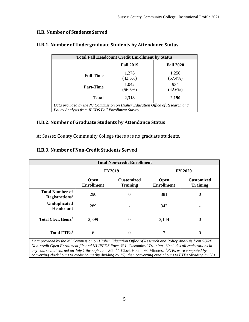#### **II.B. Number of Students Served**

| <b>Total Fall Headcount Credit Enrollment by Status</b>                                                                             |                     |                     |  |  |  |
|-------------------------------------------------------------------------------------------------------------------------------------|---------------------|---------------------|--|--|--|
|                                                                                                                                     | <b>Fall 2019</b>    | <b>Fall 2020</b>    |  |  |  |
| <b>Full-Time</b>                                                                                                                    | 1,276<br>$(43.5\%)$ | 1,256<br>$(57.4\%)$ |  |  |  |
| <b>Part-Time</b>                                                                                                                    | 1,042<br>$(56.5\%)$ | 934<br>$(42.6\%)$   |  |  |  |
| <b>Total</b>                                                                                                                        | 2,318               | 2,190               |  |  |  |
| Data provided by the NJ Commission on Higher Education Office of Research and<br>Policy Analysis from IPEDS Fall Enrollment Survey. |                     |                     |  |  |  |

## **II.B.1. Number of Undergraduate Students by Attendance Status**

#### **II.B.2. Number of Graduate Students by Attendance Status**

At Sussex County Community College there are no graduate students.

#### **II.B.3. Number of Non-Credit Students Served**

|                                                      | <b>Total Non-credit Enrollment</b> |                                      |                           |                                      |  |  |
|------------------------------------------------------|------------------------------------|--------------------------------------|---------------------------|--------------------------------------|--|--|
|                                                      | <b>FY2019</b>                      |                                      | <b>FY 2020</b>            |                                      |  |  |
|                                                      | Open<br><b>Enrollment</b>          | <b>Customized</b><br><b>Training</b> | Open<br><b>Enrollment</b> | <b>Customized</b><br><b>Training</b> |  |  |
| <b>Total Number of</b><br>Registrations <sup>1</sup> | 290                                | 0                                    | 381                       | 0                                    |  |  |
| <b>Unduplicated</b><br><b>Headcount</b>              | 289                                |                                      | 342                       |                                      |  |  |
| <b>Total Clock Hours<sup>2</sup></b>                 | 2,899                              | $\Omega$                             | 3,144                     | 0                                    |  |  |
| Total FTEs <sup>3</sup>                              | 6                                  |                                      | 7                         | U                                    |  |  |

*Data provided by the NJ Commission on Higher Education Office of Research and Policy Analysis from SURE Non-credit Open Enrollment file and NJ IPEDS Form #31, Customized Training. <sup>I</sup>Includes all registrations in any course that started on July 1 through June 30.*  $2 \cdot 1$  Clock Hour = 60 Minutes.  $3$ *FTEs were computed by converting clock hours to credit hours (by dividing by 15), then converting credit hours to FTEs (dividing by 30).*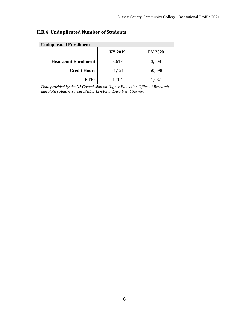| <b>Unduplicated Enrollment</b>                                                                                                          |                |                |  |  |
|-----------------------------------------------------------------------------------------------------------------------------------------|----------------|----------------|--|--|
|                                                                                                                                         | <b>FY 2019</b> | <b>FY 2020</b> |  |  |
| <b>Headcount Enrollment</b>                                                                                                             | 3,617          | 3,508          |  |  |
| <b>Credit Hours</b>                                                                                                                     | 51,121         | 50,598         |  |  |
| <b>FTEs</b>                                                                                                                             | 1,704          | 1,687          |  |  |
| Data provided by the NJ Commission on Higher Education Office of Research<br>and Policy Analysis from IPEDS 12-Month Enrollment Survey. |                |                |  |  |

# **II.B.4. Unduplicated Number of Students**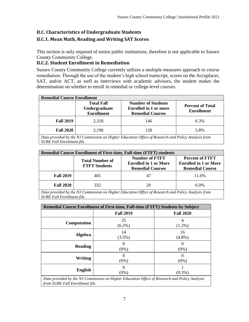# **II.C. Characteristics of Undergraduate Students**

# **II.C.1. Mean Math, Reading and Writing SAT Scores**

This section is only required of senior public institutions, therefore is not applicable to Sussex County Community College.

#### **II.C.2. Student Enrollment in Remediation**

Sussex County Community College currently utilizes a multiple measures approach to course remediation. Through the use of the student's high school transcript, scores on the Accuplacer, SAT, and/or ACT, as well as interviews with academic advisors, the student makes the determination on whether to enroll in remedial or college-level courses.

| <b>Remedial Course Enrollment</b> |                                                         |                                                                                                    |                                              |  |  |  |
|-----------------------------------|---------------------------------------------------------|----------------------------------------------------------------------------------------------------|----------------------------------------------|--|--|--|
|                                   | <b>Total Fall</b><br>Undergraduate<br><b>Enrollment</b> | <b>Number of Students</b><br><b>Enrolled in 1 or more</b><br><b>Remedial Courses</b>               | <b>Percent of Total</b><br><b>Enrollment</b> |  |  |  |
| <b>Fall 2019</b>                  | 2,318                                                   | 146                                                                                                | 6.3%                                         |  |  |  |
| <b>Fall 2020</b>                  | 2,190                                                   | 128                                                                                                | 5.8%                                         |  |  |  |
|                                   |                                                         | Data provided by the NJ Commission on Higher Education Office of Research and Policy Analysis from |                                              |  |  |  |

*SURE Fall Enrollment file.*

| <b>Remedial Course Enrollment of First-time, Full-time (FTFT) students</b> |                                                |                                                                                  |                                                                                  |  |  |
|----------------------------------------------------------------------------|------------------------------------------------|----------------------------------------------------------------------------------|----------------------------------------------------------------------------------|--|--|
|                                                                            | <b>Total Number of</b><br><b>FTFT Students</b> | <b>Number of FTFT</b><br><b>Enrolled in 1 or More</b><br><b>Remedial Courses</b> | <b>Percent of FTFT</b><br><b>Enrolled in 1 or More</b><br><b>Remedial Course</b> |  |  |
| <b>Fall 2019</b>                                                           | 405                                            | 47                                                                               | 11.6%                                                                            |  |  |
| <b>Fall 2020</b>                                                           | 332                                            | 20                                                                               | $6.0\%$                                                                          |  |  |

*Data provided by the NJ Commission on Higher Education Office of Research and Policy Analysis from SURE Fall Enrollment file.*

| Remedial Course Enrollment of First-time, Full-time (FTFT) Students by Subject |                  |                  |  |  |
|--------------------------------------------------------------------------------|------------------|------------------|--|--|
|                                                                                | <b>Fall 2019</b> | <b>Fall 2020</b> |  |  |
| Computation                                                                    | 25<br>$(6.2\%)$  | $(1.2\%)$        |  |  |
| <b>Algebra</b>                                                                 | 14<br>(3.5%)     | 16<br>$(4.8\%)$  |  |  |
| <b>Reading</b>                                                                 | $(0\%)$          | $(0\%)$          |  |  |
| Writing                                                                        | $(0\%)$          | $(0\%)$          |  |  |
| <b>English</b>                                                                 | (0%)             | $(0.3\%)$        |  |  |

*Data provided by the NJ Commission on Higher Education Office of Research and Policy Analysis from SURE Fall Enrollment file.*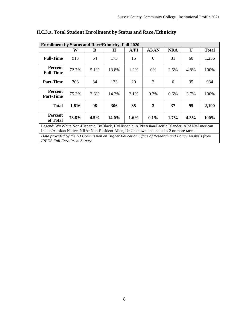|                                                                                                                                                                                          | <b>Enrollment by Status and Race/Ethnicity, Fall 2020</b> |      |       |      |          |            |      |              |
|------------------------------------------------------------------------------------------------------------------------------------------------------------------------------------------|-----------------------------------------------------------|------|-------|------|----------|------------|------|--------------|
|                                                                                                                                                                                          | W                                                         | B    | H     | A/PI | AI/AN    | <b>NRA</b> | U    | <b>Total</b> |
| <b>Full-Time</b>                                                                                                                                                                         | 913                                                       | 64   | 173   | 15   | $\theta$ | 31         | 60   | 1,256        |
| <b>Percent</b><br><b>Full-Time</b>                                                                                                                                                       | 72.7%                                                     | 5.1% | 13.8% | 1.2% | 0%       | 2.5%       | 4.8% | 100%         |
| <b>Part-Time</b>                                                                                                                                                                         | 703                                                       | 34   | 133   | 20   | 3        | 6          | 35   | 934          |
| <b>Percent</b><br><b>Part-Time</b>                                                                                                                                                       | 75.3%                                                     | 3.6% | 14.2% | 2.1% | 0.3%     | $0.6\%$    | 3.7% | 100%         |
| <b>Total</b>                                                                                                                                                                             | 1,616                                                     | 98   | 306   | 35   | 3        | 37         | 95   | 2,190        |
| <b>Percent</b><br>of Total                                                                                                                                                               | 73.8%                                                     | 4.5% | 14.0% | 1.6% | $0.1\%$  | $1.7\%$    | 4.3% | 100%         |
| Legend: W=White Non-Hispanic, B=Black, H=Hispanic, A/PI=Asian/Pacific Islander, AI/AN=American<br>Indian/Alaskan Native, NRA=Non-Resident Alien, U=Unknown and includes 2 or more races. |                                                           |      |       |      |          |            |      |              |
| Data provided by the NJ Commission on Higher Education Office of Research and Policy Analysis from<br><b>IPEDS Fall Enrollment Survey.</b>                                               |                                                           |      |       |      |          |            |      |              |

# **II.C.3.a. Total Student Enrollment by Status and Race/Ethnicity**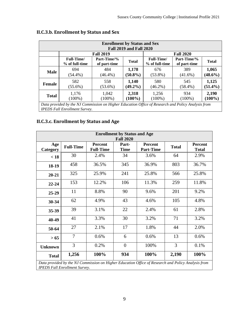|              |                                                                                                                                            |                             | <b>Enrollment by Status and Sex</b><br><b>Fall 2019 and Fall 2020</b> |                                      |                             |                     |
|--------------|--------------------------------------------------------------------------------------------------------------------------------------------|-----------------------------|-----------------------------------------------------------------------|--------------------------------------|-----------------------------|---------------------|
|              |                                                                                                                                            | <b>Fall 2019</b>            |                                                                       |                                      | <b>Fall 2020</b>            |                     |
|              | <b>Full-Time</b><br>% of full-time                                                                                                         | Part-Time/%<br>of part-time | <b>Total</b>                                                          | <b>Full-Time</b> /<br>% of full-time | Part-Time/%<br>of part-time | <b>Total</b>        |
| <b>Male</b>  | 694<br>$(54.4\%)$                                                                                                                          | 484<br>$(46.4\%)$           | 1,178<br>$(50.8\%)$                                                   | 676<br>$(53.8\%)$                    | 389<br>$(41.6\%)$           | 1,065<br>$(48.6\%)$ |
| Female       | 582<br>$(55.6\%)$                                                                                                                          | 558<br>$(53.6\%)$           | 1,140<br>$(49.2\%)$                                                   | 580<br>$(46.2\%)$                    | 545<br>$(58.4\%)$           | 1,125<br>$(51.4\%)$ |
| <b>Total</b> | 1,176<br>$(100\%)$                                                                                                                         | 1,042<br>$(100\%)$          | 2,318<br>$(100\%)$                                                    | 1,256<br>$(100\%)$                   | 934<br>$(100\%)$            | 2,190<br>$(100\%)$  |
|              | Data provided by the NJ Commission on Higher Education Office of Research and Policy Analysis from<br><b>IPEDS Fall Enrollment Survey.</b> |                             |                                                                       |                                      |                             |                     |

# **II.C.3.b. Enrollment by Status and Sex**

**II.C.3.c. Enrollment by Status and Age**

|                 |                  |                                    | <b>Enrollment by Status and Age</b><br><b>Fall 2020</b> |                                                                                                    |              |                                |
|-----------------|------------------|------------------------------------|---------------------------------------------------------|----------------------------------------------------------------------------------------------------|--------------|--------------------------------|
| Age<br>Category | <b>Full-Time</b> | <b>Percent</b><br><b>Full-Time</b> | Part-<br><b>Time</b>                                    | <b>Percent</b><br><b>Part-Time</b>                                                                 | <b>Total</b> | <b>Percent</b><br><b>Total</b> |
| < 18            | 30               | 2.4%                               | 34                                                      | 3.6%                                                                                               | 64           | 2.9%                           |
| $18-19$         | 458              | 36.5%                              | 345                                                     | 36.9%                                                                                              | 803          | 36.7%                          |
| $20 - 21$       | 325              | 25.9%                              | 241                                                     | 25.8%                                                                                              | 566          | 25.8%                          |
| $22 - 24$       | 153              | 12.2%                              | 106                                                     | 11.3%                                                                                              | 259          | 11.8%                          |
| $25-29$         | 11               | 8.8%                               | 90                                                      | 9.6%                                                                                               | 201          | 9.2%                           |
| $30 - 34$       | 62               | 4.9%                               | 43                                                      | 4.6%                                                                                               | 105          | 4.8%                           |
| 35-39           | 39               | 3.1%                               | 22                                                      | 2.4%                                                                                               | 61           | 2.8%                           |
| 40-49           | 41               | 3.3%                               | 30                                                      | 3.2%                                                                                               | 71           | 3.2%                           |
| 50-64           | 27               | 2.1%                               | 17                                                      | 1.8%                                                                                               | 44           | 2.0%                           |
| > 65            | 7                | 0.6%                               | 6                                                       | 0.6%                                                                                               | 13           | 0.6%                           |
| Unknown         | 3                | 0.2%                               | $\overline{0}$                                          | 100%                                                                                               | 3            | 0.1%                           |
| <b>Total</b>    | 1,256            | 100%                               | 934                                                     | 100%                                                                                               | 2,190        | 100%                           |
|                 |                  |                                    |                                                         | Data provided by the NJ Commission on Higher Education Office of Research and Policy Analysis from |              |                                |

*Data provided by the NJ Commission on Higher Education Office of Research and Policy Analysis from IPEDS Fall Enrollment Survey.*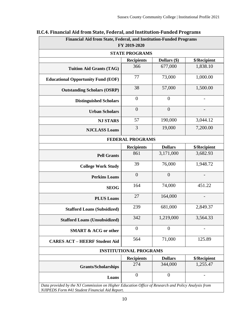| Financial Aid from State, Federal, and Institution-Funded Programs | FY 2019-2020                  |                |                          |
|--------------------------------------------------------------------|-------------------------------|----------------|--------------------------|
|                                                                    | <b>STATE PROGRAMS</b>         |                |                          |
|                                                                    | <b>Recipients</b>             | Dollars (\$)   | \$/Recipient             |
| <b>Tuition Aid Grants (TAG)</b>                                    | 366                           | 677,000        | 1,838.10                 |
| <b>Educational Opportunity Fund (EOF)</b>                          | 77                            | 73,000         | 1,000.00                 |
| <b>Outstanding Scholars (OSRP)</b>                                 | 38                            | 57,000         | 1,500.00                 |
| <b>Distinguished Scholars</b>                                      | $\theta$                      | $\overline{0}$ |                          |
| <b>Urban Scholars</b>                                              | $\theta$                      | $\overline{0}$ |                          |
| <b>NJ STARS</b>                                                    | 57                            | 190,000        | 3,044.12                 |
| <b>NJCLASS Loans</b>                                               | 3                             | 19,000         | 7,200.00                 |
|                                                                    | <b>FEDERAL PROGRAMS</b>       |                |                          |
|                                                                    | <b>Recipients</b>             | <b>Dollars</b> | \$/Recipient             |
| <b>Pell Grants</b>                                                 | 861                           | 3,171,000      | 3,682.93                 |
| <b>College Work Study</b>                                          | 39                            | 76,000         | 1,948.72                 |
| <b>Perkins Loans</b>                                               | $\theta$                      | $\overline{0}$ | $\overline{\phantom{a}}$ |
| <b>SEOG</b>                                                        | 164                           | 74,000         | 451.22                   |
| <b>PLUS Loans</b>                                                  | 27                            | 164,000        |                          |
| <b>Stafford Loans (Subsidized)</b>                                 | 239                           | 681,000        | 2,849.37                 |
| <b>Stafford Loans (Unsubsidized)</b>                               | 342                           | 1,219,000      | 3,564.33                 |
| <b>SMART &amp; ACG or other</b>                                    | $\theta$                      | $\theta$       |                          |
| <b>CARES ACT - HEERF Student Aid</b>                               | 564                           | 71,000         | 125.89                   |
|                                                                    | <b>INSTITUTIONAL PROGRAMS</b> |                |                          |
|                                                                    | <b>Recipients</b>             | <b>Dollars</b> | \$/Recipient             |
| <b>Grants/Scholarships</b>                                         | 274                           | 344,000        | 1,255.47                 |
|                                                                    | $\boldsymbol{0}$              | $\overline{0}$ |                          |

# **II.C.4. Financial Aid from State, Federal, and Institution-Funded Programs**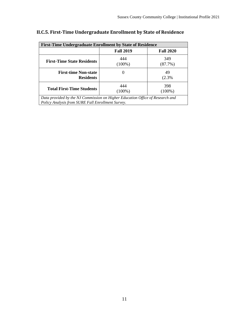| <b>First-Time Undergraduate Enrollment by State of Residence</b>                                                                   |                  |                  |  |  |  |  |
|------------------------------------------------------------------------------------------------------------------------------------|------------------|------------------|--|--|--|--|
|                                                                                                                                    | <b>Fall 2019</b> | <b>Fall 2020</b> |  |  |  |  |
| <b>First-Time State Residents</b>                                                                                                  | 444<br>$(100\%)$ | 349<br>(87.7%)   |  |  |  |  |
| <b>First-time Non-state</b><br><b>Residents</b>                                                                                    | $\theta$         | 49<br>(2.3%      |  |  |  |  |
| 444<br>398<br><b>Total First-Time Students</b><br>$(100\%)$<br>$(100\%)$                                                           |                  |                  |  |  |  |  |
| Data provided by the NJ Commission on Higher Education Office of Research and<br>Policy Analysis from SURE Fall Enrollment Survey. |                  |                  |  |  |  |  |

# **II.C.5. First-Time Undergraduate Enrollment by State of Residence**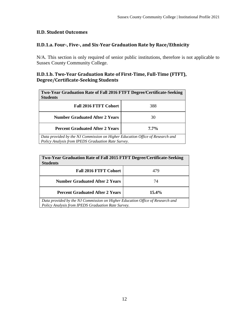### **II.D. Student Outcomes**

## **II.D.1.a. Four-, Five-, and Six-Year Graduation Rate by Race/Ethnicity**

N/A. This section is only required of senior public institutions, therefore is not applicable to Sussex County Community College.

#### **II.D.1.b. Two-Year Graduation Rate of First-Time, Full-Time (FTFT), Degree/Certificate-Seeking Students**

| Two-Year Graduation Rate of Fall 2016 FTFT Degree/Certificate-Seeking                                                               |     |  |  |  |  |
|-------------------------------------------------------------------------------------------------------------------------------------|-----|--|--|--|--|
| <b>Students</b>                                                                                                                     |     |  |  |  |  |
| <b>Fall 2016 FTFT Cohort</b>                                                                                                        | 388 |  |  |  |  |
| <b>Number Graduated After 2 Years</b>                                                                                               | 30  |  |  |  |  |
| <b>Percent Graduated After 2 Years</b><br>$7.7\%$                                                                                   |     |  |  |  |  |
| Data provided by the NJ Commission on Higher Education Office of Research and<br>Policy Analysis from IPEDS Graduation Rate Survey. |     |  |  |  |  |

| Two-Year Graduation Rate of Fall 2015 FTFT Degree/Certificate-Seeking<br><b>Students</b>                                            |     |  |  |  |  |
|-------------------------------------------------------------------------------------------------------------------------------------|-----|--|--|--|--|
| <b>Fall 2016 FTFT Cohort</b>                                                                                                        | 479 |  |  |  |  |
| <b>Number Graduated After 2 Years</b>                                                                                               | 74  |  |  |  |  |
| <b>Percent Graduated After 2 Years</b><br>$15.4\%$                                                                                  |     |  |  |  |  |
| Data provided by the NJ Commission on Higher Education Office of Research and<br>Policy Analysis from IPEDS Graduation Rate Survey. |     |  |  |  |  |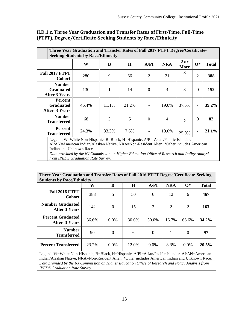| Three Year Graduation and Transfer Rates of Fall 2017 FTFT Degree/Certificate-<br><b>Seeking Students by Race/Ethnicity</b>                                                                           |                                                                                                                                     |       |         |                |                |                |                          |              |
|-------------------------------------------------------------------------------------------------------------------------------------------------------------------------------------------------------|-------------------------------------------------------------------------------------------------------------------------------------|-------|---------|----------------|----------------|----------------|--------------------------|--------------|
|                                                                                                                                                                                                       | W                                                                                                                                   | B     | $\bf H$ | A/PI           | <b>NRA</b>     | $2$ or<br>More | $\mathbf{O}^*$           | <b>Total</b> |
| <b>Fall 2017 FTFT</b><br><b>Cohort</b>                                                                                                                                                                | 280                                                                                                                                 | 9     | 66      | $\overline{2}$ | 21             | 8              | $\overline{2}$           | 388          |
| <b>Number</b><br><b>Graduated</b><br><b>After 3 Years</b>                                                                                                                                             | 130                                                                                                                                 | 1     | 14      | $\theta$       | $\overline{4}$ | 3              | $\theta$                 | 152          |
| Percent<br><b>Graduated</b><br><b>After 3 Years</b>                                                                                                                                                   | 46.4%                                                                                                                               | 11.1% | 21.2%   |                | 19.0%          | 37.5%          | $\overline{\phantom{a}}$ | 39.2%        |
| <b>Number</b><br><b>Transferred</b>                                                                                                                                                                   | 68                                                                                                                                  | 3     | 5       | $\theta$       | $\overline{4}$ | $\overline{2}$ | $\Omega$                 | 82           |
| Percent<br><b>Transferred</b>                                                                                                                                                                         | 21.1%<br>24.3%<br>33.3%<br>7.6%<br>19.0%<br>$\overline{\phantom{a}}$<br>25.0%                                                       |       |         |                |                |                |                          |              |
| Legend: W=White Non-Hispanic, B=Black, H=Hispanic, A/PI=Asian/Pacific Islander,<br>AI/AN=American Indian/Alaskan Native, NRA=Non-Resident Alien. *Other includes American<br>Indian and Unknown Race. |                                                                                                                                     |       |         |                |                |                |                          |              |
|                                                                                                                                                                                                       | Data provided by the NJ Commission on Higher Education Office of Research and Policy Analysis<br>from IPEDS Graduation Rate Survey. |       |         |                |                |                |                          |              |

# **II.D.1.c. Three Year Graduation and Transfer Rates of First-Time, Full-Time (FTFT), Degree/Certificate-Seeking Students by Race/Ethnicity**

| Three Year Graduation and Transfer Rates of Fall 2016 FTFT Degree/Certificate-Seeking                                                      |       |          |         |                |                |                |              |
|--------------------------------------------------------------------------------------------------------------------------------------------|-------|----------|---------|----------------|----------------|----------------|--------------|
| <b>Students by Race/Ethnicity</b>                                                                                                          |       |          |         |                |                |                |              |
|                                                                                                                                            | W     | B        | $\bf H$ | A/PI           | <b>NRA</b>     | $\mathbf{O}^*$ | <b>Total</b> |
| <b>Fall 2016 FTFT</b><br><b>Cohort</b>                                                                                                     | 388   | 5        | 50      | 6              | 12             | 6              | 467          |
| <b>Number Graduated</b><br>After 3 Years                                                                                                   | 142   | $\Omega$ | 15      | $\overline{2}$ | $\overline{2}$ | 2              | 163          |
| <b>Percent Graduated</b><br>After 3 Years                                                                                                  | 36.6% | $0.0\%$  | 30.0%   | 50.0%          | 16.7%          | 66.6%          | $34.2\%$     |
| <b>Number</b><br><b>Transferred</b>                                                                                                        | 90    | 0        | 6       | $\Omega$       | 1              | $\Omega$       | 97           |
| 20.5%<br><b>Percent Transferred</b><br>$0.0\%$<br>8.3%<br>23.2%<br>$0.0\%$<br>12.0%<br>$0.0\%$                                             |       |          |         |                |                |                |              |
| Legend: W=White Non-Hispanic, B=Black, H=Hispanic, A/PI=Asian/Pacific Islander, AI/AN=American                                             |       |          |         |                |                |                |              |
| Indian/Alaskan Native, NRA=Non-Resident Alien. *Other includes American Indian and Unknown Race.                                           |       |          |         |                |                |                |              |
| Data provided by the NJ Commission on Higher Education Office of Research and Policy Analysis from<br><b>IPEDS</b> Graduation Rate Survey. |       |          |         |                |                |                |              |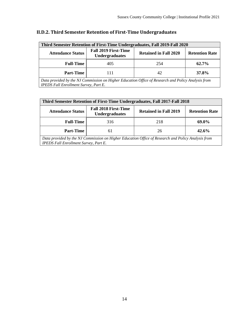| <b>Third Semester Retention of First-Time Undergraduates, Fall 2019-Fall 2020</b>                                                                  |                                                      |                              |                       |  |  |  |  |
|----------------------------------------------------------------------------------------------------------------------------------------------------|------------------------------------------------------|------------------------------|-----------------------|--|--|--|--|
| <b>Attendance Status</b>                                                                                                                           | <b>Fall 2019 First-Time</b><br><b>Undergraduates</b> | <b>Retained in Fall 2020</b> | <b>Retention Rate</b> |  |  |  |  |
| <b>Full-Time</b>                                                                                                                                   | 405                                                  | 254                          | 62.7%                 |  |  |  |  |
| <b>Part-Time</b><br>37.8%<br>42<br>111                                                                                                             |                                                      |                              |                       |  |  |  |  |
| Data provided by the NJ Commission on Higher Education Office of Research and Policy Analysis from<br><b>IPEDS Fall Enrollment Survey, Part E.</b> |                                                      |                              |                       |  |  |  |  |

# **II.D.2. Third Semester Retention of First-Time Undergraduates**

| <b>Third Semester Retention of First-Time Undergraduates, Fall 2017-Fall 2018</b>                                                                  |                                                      |                              |                       |  |  |  |  |
|----------------------------------------------------------------------------------------------------------------------------------------------------|------------------------------------------------------|------------------------------|-----------------------|--|--|--|--|
| <b>Attendance Status</b>                                                                                                                           | <b>Fall 2018 First-Time</b><br><b>Undergraduates</b> | <b>Retained in Fall 2019</b> | <b>Retention Rate</b> |  |  |  |  |
| <b>Full-Time</b>                                                                                                                                   | 316                                                  | 218                          | 69.0%                 |  |  |  |  |
| <b>Part-Time</b><br>42.6%<br>26<br>61                                                                                                              |                                                      |                              |                       |  |  |  |  |
| Data provided by the NJ Commission on Higher Education Office of Research and Policy Analysis from<br><b>IPEDS Fall Enrollment Survey, Part E.</b> |                                                      |                              |                       |  |  |  |  |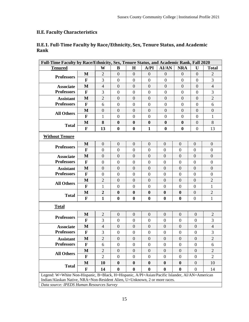# **II.E. Faculty Characteristics**

# **II.E.1. Full-Time Faculty by Race/Ethnicity, Sex, Tenure Status, and Academic Rank**

| Full-Time Faculty by Race/Ethnicity, Sex, Tenure Status, and Academic Rank, Fall 2020                                   |              |                  |                  |                  |                  |                  |                  |                  |                  |
|-------------------------------------------------------------------------------------------------------------------------|--------------|------------------|------------------|------------------|------------------|------------------|------------------|------------------|------------------|
| <b>Tenured</b>                                                                                                          |              | W                | B                | $\mathbf H$      | A/PI             | <b>AI/AN</b>     | <b>NRA</b>       | U                | <b>Total</b>     |
| <b>Professors</b>                                                                                                       | $\mathbf{M}$ | $\mathbf{2}$     | $\overline{0}$   | $\boldsymbol{0}$ | $\mathbf{0}$     | $\overline{0}$   | $\overline{0}$   | $\boldsymbol{0}$ | $\overline{2}$   |
|                                                                                                                         | F            | 3                | $\boldsymbol{0}$ | $\boldsymbol{0}$ | $\mathbf{0}$     | $\boldsymbol{0}$ | $\boldsymbol{0}$ | $\boldsymbol{0}$ | 3                |
| <b>Associate</b>                                                                                                        | M            | $\overline{4}$   | $\overline{0}$   | $\overline{0}$   | $\mathbf{0}$     | $\mathbf{0}$     | $\overline{0}$   | $\overline{0}$   | $\overline{4}$   |
| <b>Professors</b>                                                                                                       | $\mathbf F$  | 3                | $\boldsymbol{0}$ | $\overline{0}$   | $\boldsymbol{0}$ | $\boldsymbol{0}$ | $\overline{0}$   | $\overline{0}$   | 3                |
| <b>Assistant</b>                                                                                                        | $\mathbf{M}$ | $\overline{2}$   | $\overline{0}$   | $\overline{0}$   | $\overline{0}$   | $\theta$         | $\overline{0}$   | $\overline{0}$   | $\overline{2}$   |
| <b>Professors</b>                                                                                                       | $\mathbf{F}$ | 6                | $\boldsymbol{0}$ | $\overline{0}$   | $\mathbf{0}$     | $\boldsymbol{0}$ | $\boldsymbol{0}$ | $\overline{0}$   | 6                |
| <b>All Others</b>                                                                                                       | $\mathbf{M}$ | $\mathbf{0}$     | $\overline{0}$   | $\overline{0}$   | $\overline{0}$   | $\overline{0}$   | $\overline{0}$   | $\overline{0}$   | $\overline{0}$   |
|                                                                                                                         | F            | 1                | $\boldsymbol{0}$ | $\theta$         | $\boldsymbol{0}$ | $\boldsymbol{0}$ | $\theta$         | $\theta$         | 1                |
| <b>Total</b>                                                                                                            | M            | 8                | $\bf{0}$         | $\boldsymbol{0}$ | $\boldsymbol{0}$ | $\bf{0}$         | $\mathbf{0}$     | $\theta$         | 8                |
|                                                                                                                         | $\mathbf F$  | 13               | $\boldsymbol{0}$ | $\bf{0}$         | $\mathbf{1}$     | $\bf{0}$         | $\boldsymbol{0}$ | $\boldsymbol{0}$ | 13               |
| <b>Without Tenure</b>                                                                                                   |              |                  |                  |                  |                  |                  |                  |                  |                  |
|                                                                                                                         | M            | $\boldsymbol{0}$ | $\mathbf{0}$     | $\boldsymbol{0}$ | $\mathbf{0}$     | $\boldsymbol{0}$ | $\overline{0}$   | $\boldsymbol{0}$ | $\mathbf{0}$     |
| <b>Professors</b>                                                                                                       | F            | $\boldsymbol{0}$ | $\overline{0}$   | $\overline{0}$   | $\overline{0}$   | $\boldsymbol{0}$ | $\boldsymbol{0}$ | $\boldsymbol{0}$ | $\overline{0}$   |
| <b>Associate</b>                                                                                                        | M            | $\overline{0}$   | $\mathbf{0}$     | $\boldsymbol{0}$ | $\mathbf{0}$     | $\boldsymbol{0}$ | $\mathbf{0}$     | $\overline{0}$   | $\theta$         |
| <b>Professors</b>                                                                                                       | $\mathbf{F}$ | $\boldsymbol{0}$ | $\boldsymbol{0}$ | $\boldsymbol{0}$ | $\mathbf{0}$     | $\boldsymbol{0}$ | $\boldsymbol{0}$ | $\boldsymbol{0}$ | $\mathbf{0}$     |
| <b>Assistant</b>                                                                                                        | M            | $\boldsymbol{0}$ | $\overline{0}$   | $\boldsymbol{0}$ | $\mathbf{0}$     | $\boldsymbol{0}$ | $\boldsymbol{0}$ | $\boldsymbol{0}$ | $\mathbf{0}$     |
| <b>Professors</b>                                                                                                       | $\mathbf{F}$ | $\boldsymbol{0}$ | $\overline{0}$   | $\overline{0}$   | $\mathbf{0}$     | $\overline{0}$   | $\boldsymbol{0}$ | $\boldsymbol{0}$ | $\boldsymbol{0}$ |
| <b>All Others</b>                                                                                                       | M            | $\mathbf{2}$     | $\mathbf{0}$     | $\boldsymbol{0}$ | $\mathbf{0}$     | $\boldsymbol{0}$ | $\mathbf{0}$     | $\mathbf{0}$     | $\mathbf{2}$     |
|                                                                                                                         | $\mathbf{F}$ | $\mathbf{1}$     | $\boldsymbol{0}$ | $\boldsymbol{0}$ | $\boldsymbol{0}$ | $\boldsymbol{0}$ | $\boldsymbol{0}$ | $\boldsymbol{0}$ | $\mathbf{1}$     |
| <b>Total</b>                                                                                                            | M            | $\boldsymbol{2}$ | $\boldsymbol{0}$ | $\boldsymbol{0}$ | $\boldsymbol{0}$ | $\boldsymbol{0}$ | $\boldsymbol{0}$ | $\boldsymbol{0}$ | $\sqrt{2}$       |
|                                                                                                                         | $\mathbf{F}$ | $\mathbf{1}$     | $\boldsymbol{0}$ | $\bf{0}$         | $\bf{0}$         | $\bf{0}$         | $\boldsymbol{0}$ | $\boldsymbol{0}$ | $\mathbf{1}$     |
| <b>Total</b>                                                                                                            |              |                  |                  |                  |                  |                  |                  |                  |                  |
|                                                                                                                         | M            | $\mathbf{2}$     | $\mathbf{0}$     | $\overline{0}$   | $\boldsymbol{0}$ | $\overline{0}$   | $\mathbf{0}$     | $\boldsymbol{0}$ | $\overline{2}$   |
| <b>Professors</b>                                                                                                       | F            | 3                | $\mathbf{0}$     | $\boldsymbol{0}$ | $\boldsymbol{0}$ | $\boldsymbol{0}$ | $\boldsymbol{0}$ | $\boldsymbol{0}$ | 3                |
| <b>Associate</b>                                                                                                        | M            | $\overline{4}$   | $\overline{0}$   | $\boldsymbol{0}$ | $\boldsymbol{0}$ | $\boldsymbol{0}$ | $\mathbf{0}$     | $\boldsymbol{0}$ | $\overline{4}$   |
| <b>Professors</b>                                                                                                       | $\mathbf{F}$ | 3                | $\boldsymbol{0}$ | $\overline{0}$   | $\boldsymbol{0}$ | $\boldsymbol{0}$ | $\boldsymbol{0}$ | $\boldsymbol{0}$ | 3                |
| <b>Assistant</b>                                                                                                        | M            | $\overline{2}$   | $\mathbf{0}$     | $\overline{0}$   | $\mathbf{0}$     | $\boldsymbol{0}$ | $\mathbf{0}$     | $\overline{0}$   | $\overline{2}$   |
| <b>Professors</b>                                                                                                       | $\mathbf F$  | 6                | $\mathbf{0}$     | $\boldsymbol{0}$ | $\boldsymbol{0}$ | $\boldsymbol{0}$ | $\boldsymbol{0}$ | $\boldsymbol{0}$ | 6                |
|                                                                                                                         | $\bf M$      | $\overline{2}$   | $\theta$         | $\overline{0}$   | $\boldsymbol{0}$ | $\boldsymbol{0}$ | $\mathbf{0}$     | $\boldsymbol{0}$ | $\overline{2}$   |
| <b>All Others</b>                                                                                                       | $\mathbf F$  | $\overline{2}$   | $\Omega$         | $\overline{0}$   | $\boldsymbol{0}$ | $\boldsymbol{0}$ | $\boldsymbol{0}$ | $\boldsymbol{0}$ | $\overline{2}$   |
|                                                                                                                         | M            | 10               | $\boldsymbol{0}$ | $\bf{0}$         | $\bf{0}$         | $\boldsymbol{0}$ | $\bf{0}$         | $\boldsymbol{0}$ | 10               |
| <b>Total</b>                                                                                                            | $\mathbf{F}$ | 14               | $\boldsymbol{0}$ | $\bf{0}$         | $\bf{0}$         | $\bf{0}$         | $\boldsymbol{0}$ | $\boldsymbol{0}$ | 14               |
| Legend: W=White Non-Hispanic, B=Black, H=Hispanic, A/PI=Asian/Pacific Islander, AI/AN=American                          |              |                  |                  |                  |                  |                  |                  |                  |                  |
| Indian/Alaskan Native, NRA=Non-Resident Alien, U=Unknown, 2 or more races.<br>Data source: IPEDS Human Resources Survey |              |                  |                  |                  |                  |                  |                  |                  |                  |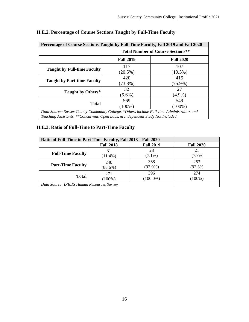| Percentage of Course Sections Taught by Full-Time Faculty, Fall 2019 and Fall 2020        |                                          |                  |  |  |  |  |  |
|-------------------------------------------------------------------------------------------|------------------------------------------|------------------|--|--|--|--|--|
|                                                                                           | <b>Total Number of Course Sections**</b> |                  |  |  |  |  |  |
|                                                                                           | <b>Fall 2019</b>                         | <b>Fall 2020</b> |  |  |  |  |  |
|                                                                                           | 117                                      | 107              |  |  |  |  |  |
| <b>Taught by Full-time Faculty</b>                                                        | $(20.5\%)$                               | $(19.5\%)$       |  |  |  |  |  |
|                                                                                           | 420                                      | 415              |  |  |  |  |  |
| <b>Taught by Part-time Faculty</b>                                                        | $(73.8\%)$                               | $(75.9\%)$       |  |  |  |  |  |
|                                                                                           | 32                                       | 27               |  |  |  |  |  |
| Taught by Others*                                                                         | $(5.6\%)$                                | $(4.9\%)$        |  |  |  |  |  |
|                                                                                           | 569                                      | 549              |  |  |  |  |  |
| <b>Total</b>                                                                              | $(100\%)$                                | $(100\%)$        |  |  |  |  |  |
| Data Source: Sussex County Community College *Others include Full-time Administrators and |                                          |                  |  |  |  |  |  |

# **II.E.2. Percentage of Course Sections Taught by Full-Time Faculty**

*Data Source: Sussex County Community College. \*Others include Full-time Administrators and Teaching Assistants. \*\*Concurrent, Open Labs, & Independent Study Not Included.*

# **II.E.3. Ratio of Full-Time to Part-Time Faculty**

| Ratio of Full-Time to Part-Time Faculty, Fall 2018 – Fall 2020 |                  |                  |                  |  |  |
|----------------------------------------------------------------|------------------|------------------|------------------|--|--|
|                                                                | <b>Fall 2018</b> | <b>Fall 2019</b> | <b>Fall 2020</b> |  |  |
|                                                                | 31               | 28               | 21               |  |  |
| <b>Full-Time Faculty</b>                                       | $(11.4\%)$       | $(7.1\%)$        | (7.7%            |  |  |
| <b>Part-Time Faculty</b>                                       | 240              | 368              | 253              |  |  |
|                                                                | $(88.6\%)$       | $(92.9\%)$       | (92.3%           |  |  |
|                                                                | 271              | 396              | 274              |  |  |
| <b>Total</b>                                                   | $(100\%)$        | $(100.0\%)$      | $(100\%)$        |  |  |
| Data Source: IPEDS Human Resources Survey                      |                  |                  |                  |  |  |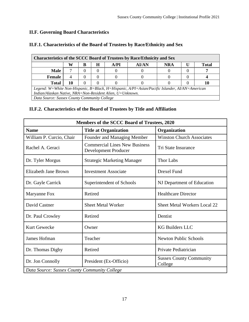# **II.F. Governing Board Characteristics**

| <b>Characteristics of the SCCC Board of Trustees by Race/Ethnicity and Sex</b>                 |    |   |   |      |              |            |  |       |
|------------------------------------------------------------------------------------------------|----|---|---|------|--------------|------------|--|-------|
|                                                                                                | W  | в | Н | A/PI | <b>AI/AN</b> | <b>NRA</b> |  | Total |
| <b>Male</b>                                                                                    |    |   |   |      |              |            |  |       |
| Female                                                                                         |    |   |   |      |              |            |  |       |
| <b>Total</b>                                                                                   | 10 |   |   |      |              |            |  | 10    |
| Legend: W=White Non-Hispanic, B=Black, H=Hispanic, A/PI=Asian/Pacific Islander, AI/AN=American |    |   |   |      |              |            |  |       |
| Indian/Alaskan Native, NRA=Non-Resident Alien, U=Unknown.                                      |    |   |   |      |              |            |  |       |
| Data Source: Sussex County Community College                                                   |    |   |   |      |              |            |  |       |

## **II.F.1. Characteristics of the Board of Trustees by Race/Ethnicity and Sex**

#### **II.F.2. Characteristics of the Board of Trustees by Title and Affiliation**

| Members of the SCCC Board of Trustees, 2020  |                                                                     |                                           |  |  |  |  |
|----------------------------------------------|---------------------------------------------------------------------|-------------------------------------------|--|--|--|--|
| <b>Name</b>                                  | <b>Title at Organization</b>                                        | Organization                              |  |  |  |  |
| William P. Curcio, Chair                     | Founder and Managing Member                                         | <b>Winston Church Associates</b>          |  |  |  |  |
| Rachel A. Geraci                             | <b>Commercial Lines New Business</b><br><b>Development Producer</b> | <b>Tri State Insurance</b>                |  |  |  |  |
| Dr. Tyler Morgus                             | <b>Strategic Marketing Manager</b>                                  | <b>Thor Labs</b>                          |  |  |  |  |
| <b>Elizabeth Jane Brown</b>                  | <b>Investment Associate</b>                                         | <b>Drexel Fund</b>                        |  |  |  |  |
| Dr. Gayle Carrick                            | Superintendent of Schools                                           | NJ Department of Education                |  |  |  |  |
| Maryanne Fox                                 | Retired                                                             | <b>Healthcare Director</b>                |  |  |  |  |
| David Castner                                | <b>Sheet Metal Worker</b>                                           | <b>Sheet Metal Workers Local 22</b>       |  |  |  |  |
| Dr. Paul Crowley                             | Retired                                                             | Dentist                                   |  |  |  |  |
| <b>Kurt Gewecke</b>                          | Owner                                                               | <b>KG Builders LLC</b>                    |  |  |  |  |
| <b>James Hofman</b>                          | Teacher                                                             | <b>Newton Public Schools</b>              |  |  |  |  |
| Dr. Thomas Digby                             | Retired                                                             | Private Pediatrician                      |  |  |  |  |
| Dr. Jon Connolly                             | President (Ex-Officio)                                              | <b>Sussex County Community</b><br>College |  |  |  |  |
| Data Source: Sussex County Community College |                                                                     |                                           |  |  |  |  |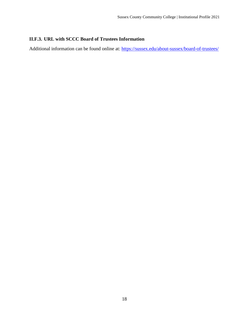# **II.F.3. URL with SCCC Board of Trustees Information**

Additional information can be found online at:<https://sussex.edu/about-sussex/board-of-trustees/>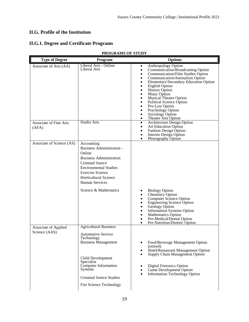# **II.G. Profile of the Institution**

# **II.G.1. Degree and Certificate Programs**

| <b>Type of Degree</b>                 | Program                                                                                                                                                                                                                                                     | <b>Options</b>                                                                                                                                                                                                                                                                                                                                                                                               |
|---------------------------------------|-------------------------------------------------------------------------------------------------------------------------------------------------------------------------------------------------------------------------------------------------------------|--------------------------------------------------------------------------------------------------------------------------------------------------------------------------------------------------------------------------------------------------------------------------------------------------------------------------------------------------------------------------------------------------------------|
| Associate of Arts (AA)                | Liberal Arts - Online<br>Liberal Arts                                                                                                                                                                                                                       | Anthropology Option<br>$\bullet$<br>Communication/Broadcasting Option<br>Communication/Film Studies Option<br>Communication/Journalism Option<br>Elementary/Secondary Education Option<br>٠<br><b>English Option</b><br><b>History Option</b><br>Music Option<br><b>Musical Theater Option</b><br>Political Science Option<br>Pre-Law Option<br>Psychology Option<br>Sociology Option<br>Theater Arts Option |
| Associate of Fine Arts<br>(AFA)       | Studio Arts                                                                                                                                                                                                                                                 | Architecture Design Option<br>$\bullet$<br><b>Art Education Option</b><br>٠<br><b>Fashion Design Option</b><br><b>Interior Design Option</b><br>Photography Option                                                                                                                                                                                                                                           |
| Associate of Science (AS)             | Accounting<br>Business Administration -<br>Online<br><b>Business Administration</b><br><b>Criminal Justice</b><br><b>Environmental Studies</b><br><b>Exercise Science</b><br><b>Horticultural Science</b><br><b>Human Services</b><br>Science & Mathematics | <b>Biology Option</b><br>Chemistry Option<br>Computer Science Option<br><b>Engineering Science Option</b><br>Geology Option<br>Information Systems Option<br>Mathematics Option<br>٠<br>Pre-Medical/Dental Option<br>Pre-Nutrition/Dietetic Option                                                                                                                                                           |
| Associate of Applied<br>Science (AAS) | <b>Agricultural Business</b><br><b>Automotive Service</b><br>Technology<br><b>Business Management</b><br>Child Development<br>Specialist<br>Computer Information<br><b>Systems</b><br><b>Criminal Justice Studies</b><br>Fire Science Technology            | Food/Beverage Management Option<br>(retired)<br>Hotel/Restaurant Management Option<br>٠<br>Supply Chain Management Option<br><b>Digital Forensics Option</b><br>Game Development Option<br>Information Technology Option                                                                                                                                                                                     |

#### **PROGRAMS OF STUDY**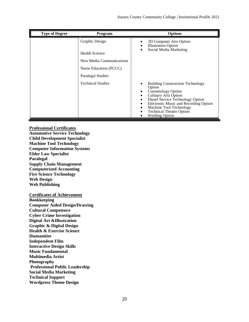| <b>Type of Degree</b> | Program                                                             | <b>Options</b>                                                                                                                                                                                                                                                                    |
|-----------------------|---------------------------------------------------------------------|-----------------------------------------------------------------------------------------------------------------------------------------------------------------------------------------------------------------------------------------------------------------------------------|
|                       | Graphic Design<br><b>Health Science</b><br>New Media Communications | 3D Computer Arts Option<br><b>Illustration Option</b><br>Social Media Marketing                                                                                                                                                                                                   |
|                       | Nurse Education (PCCC)<br><b>Paralegal Studies</b>                  |                                                                                                                                                                                                                                                                                   |
|                       | Technical Studies                                                   | <b>Building Construction Technology</b><br>Option<br><b>Cosmetology Option</b><br><b>Culinary Arts Option</b><br>Diesel Service Technology Option<br>Electronic Music and Recording Option<br>Machine Tool Technology<br><b>Technical Theater Option</b><br><b>Welding Option</b> |

**Professional Certificates Automotive Service Technology Child Development Specialist Machine Tool Technology Computer Information Systems Elder Law Specialist Paralegal Supply Chain Management Computerized Accounting Fire Science Technology Web Design Web Publishing**

#### **Certificates of Achievement**

**Bookkeeping Computer Aided Design/Drawing Cultural Competence Cyber Crime Investigation Digital Art &Illustration Graphic & Digital Design Health & Exercise Science Humanities Independent Film Interactive Design Skills Music Fundamental Multimedia Artist Photography Professional Public Leadership Social Media Marketing Technical Support Wordpress Theme Design**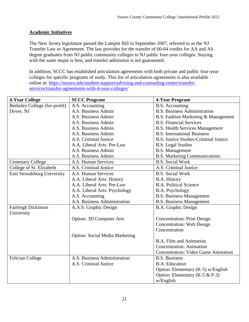## **Academic Initiatives**

The New Jersey legislature passed the Lampitt Bill in September 2007, referred to as the NJ Transfer Law or Agreement. The law provides for the transfer of 60-64 credits for AA and AS degree graduates from NJ public community colleges to NJ public four-year colleges. Staying with the same major is best, and transfer admission is not guaranteed.

In addition, SCCC has established articulation agreements with both private and public four-year colleges for specific programs of study. This list of articulation agreements is also available online at: [https://sussex.edu/student-support/advising-and-counseling-center/transfer](https://sussex.edu/student-support/advising-and-counseling-center/transfer-services/transfer-agreements-with-4-year-colleges/)[services/transfer-agreements-with-4-year-colleges/](https://sussex.edu/student-support/advising-and-counseling-center/transfer-services/transfer-agreements-with-4-year-colleges/)

| 4-Year College                     | <b>SCCC Program</b>                   | 4-Year Program                               |
|------------------------------------|---------------------------------------|----------------------------------------------|
| Berkeley College (for-profit)      | A.S. Accounting                       | <b>B.S.</b> Accounting                       |
| Dover, NJ                          | A.S. Business Admin                   | <b>B.S. Business Administration</b>          |
|                                    | A.S. Business Admin                   | B.S. Fashion Marketing & Management          |
|                                    | A.S. Business Admin                   | <b>B.S. Financial Services</b>               |
|                                    | A.S. Business Admin                   | <b>B.S. Health Services Management</b>       |
|                                    | A.S. Business Admin                   | <b>B.S.</b> International Business           |
|                                    | A.S. Criminal Justice                 | <b>B.S. Justice Studies-Criminal Justice</b> |
|                                    | A.A. Liberal Arts: Pre-Law            | <b>B.S.</b> Legal Studies                    |
|                                    | A.S. Business Admin                   | <b>B.S. Management</b>                       |
|                                    | A.S. Business Admin                   | <b>B.S. Marketing Communications</b>         |
| <b>Centenary College</b>           | A.S. Human Services                   | <b>B.S. Social Work</b>                      |
| College of St. Elizabeth           | A.S. Criminal Justice                 | A.S. Criminal Justice                        |
| <b>East Stroudsburg University</b> | A.S. Human Services                   | <b>B.S. Social Work</b>                      |
|                                    | A.A. Liberal Arts: History            | B.A. History                                 |
|                                    | A.A. Liberal Arts: Pre-Law            | <b>B.A. Political Science</b>                |
|                                    | A.A. Liberal Arts: Psychology         | B.A. Psychology                              |
|                                    | A.S. Accounting                       | <b>B.S. Business Management</b>              |
|                                    | A.S. Business Administration          | <b>B.S. Business Management</b>              |
| Fairleigh Dickinson                | A.A.S. Graphic Design                 | <b>B.A.</b> Graphic Design                   |
| University                         |                                       |                                              |
|                                    | <b>Option: 3D Computer Arts</b>       | <b>Concentration: Print Design</b>           |
|                                    |                                       | <b>Concentration: Web Design</b>             |
|                                    |                                       | Concentration                                |
|                                    | <b>Option: Social Media Marketing</b> |                                              |
|                                    |                                       | B.A. Film and Animation                      |
|                                    |                                       | <b>Concentration: Animation</b>              |
|                                    |                                       | <b>Concentration: Video Game Animation</b>   |
| <b>Felician College</b>            | A.S. Business Administration          | <b>B.S. Business</b>                         |
|                                    | A.S. Criminal Justice                 | <b>B.A.</b> Education                        |
|                                    |                                       | Option: Elementary (K-5) w/English           |
|                                    |                                       | Option: Elementary (K-5 & P-3)               |
|                                    |                                       | w/English                                    |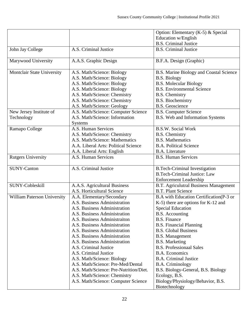|                             |                                        | Option: Elementary (K-5) & Special       |
|-----------------------------|----------------------------------------|------------------------------------------|
|                             |                                        | Education w/English                      |
|                             |                                        | <b>B.S. Criminal Justice</b>             |
| John Jay College            | A.S. Criminal Justice                  | <b>B.S. Criminal Justice</b>             |
|                             |                                        |                                          |
| Marywood University         | A.A.S. Graphic Design                  | B.F.A. Design (Graphic)                  |
|                             |                                        |                                          |
| Montclair State University  | A.S. Math/Science: Biology             | B.S. Marine Biology and Coastal Science  |
|                             | A.S. Math/Science: Biology             | <b>B.S. Biology</b>                      |
|                             | A.S. Math/Science: Biology             | <b>B.S. Molecular Biology</b>            |
|                             | A.S. Math/Science: Biology             | <b>B.S. Environmental Science</b>        |
|                             | A.S. Math/Science: Chemistry           | <b>B.S.</b> Chemistry                    |
|                             | A.S. Math/Science: Chemistry           | <b>B.S. Biochemistry</b>                 |
|                             | A.S. Math/Science: Geology             | <b>B.S.</b> Geoscience                   |
| New Jersey Institute of     | A.S. Math/Science: Computer Science    | <b>B.S. Computer Science</b>             |
| Technology                  | A.S. Math/Science: Information         | B.S. Web and Information Systems         |
|                             | <b>Systems</b>                         |                                          |
| Ramapo College              | A.S. Human Services                    | <b>B.S.W. Social Work</b>                |
|                             | A.S. Math/Science: Chemistry           | <b>B.S.</b> Chemistry                    |
|                             | A.S. Math/Science: Mathematics         | <b>B.S. Mathematics</b>                  |
|                             | A.A. Liberal Arts: Political Science   | <b>B.A. Political Science</b>            |
|                             | A.A. Liberal Arts: English             | B.A. Literature                          |
| <b>Rutgers University</b>   | A.S. Human Services                    | <b>B.S. Human Services</b>               |
|                             |                                        |                                          |
| <b>SUNY-Canton</b>          | A.S. Criminal Justice                  | <b>B.Tech-Criminal Investigation</b>     |
|                             |                                        | <b>B.Tech-Criminal Justice: Law</b>      |
|                             |                                        | <b>Enforcement Leadership</b>            |
| <b>SUNY-Cobleskill</b>      | A.A.S. Agricultural Business           | B.T. Agriculutral Business Management    |
|                             | A.S. Horticultural Science             | <b>B.T. Plant Science</b>                |
| William Paterson University | A.A. Elementary/Secondary              | B.A with Education Certification (P-3 or |
|                             | A.S. Business Administration           | K-5) there are options for K-12 and      |
|                             | A.S. Business Administration           | <b>Special Education</b>                 |
|                             | A.S. Business Administration           | <b>B.S.</b> Accounting                   |
|                             | A.S. Business Administraiton           | <b>B.S. Finance</b>                      |
|                             | A.S. Business Administration           | <b>B.S. Financial Planning</b>           |
|                             | A.S. Business Administration           | <b>B.S. Global Business</b>              |
|                             | A.S. Business Administration           | <b>B.S. Management</b>                   |
|                             | A.S. Business Administration           | <b>B.S. Marketing</b>                    |
|                             | A.S. Criminal Justice                  | <b>B.S. Professionaal Sales</b>          |
|                             | A.S. Criminal Justice                  | <b>B.A. Economics</b>                    |
|                             | A.S. Math/Science: Biology             | <b>B.A. Criminal Justice</b>             |
|                             | A.S. Math/Science: Pre-Med/Dental      | <b>B.A. Criminology</b>                  |
|                             | A.S. Math/Science: Pre-Nutrition/Diet. | B.S. Biology-General, B.S. Biology       |
|                             | A.S. Math/Science: Chemistry           | Ecology, B.S.                            |
|                             | A.S. Math/Science: Computer Science    | Biology/Physiology/Behavior, B.S.        |
|                             |                                        | Biotechnology                            |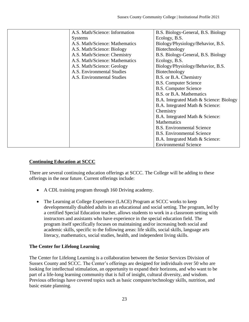| A.S. Math/Science: Information | B.S. Biology-General, B.S. Biology      |
|--------------------------------|-----------------------------------------|
| <b>Systems</b>                 | Ecology, B.S.                           |
| A.S. Math/Science: Mathematics | Biology/Physiology/Behavior, B.S.       |
| A.S. Math/Science: Biology     | Biotechnology                           |
| A.S. Math/Science: Chemistry   | B.S. Biology-General, B.S. Biology      |
| A.S. Math/Science: Mathematics | Ecology, B.S.                           |
| A.S. Math/Science: Geology     | Biology/Physiology/Behavior, B.S.       |
| A.S. Environmental Studies     | Biotechnology                           |
| A.S. Environmental Studies     | B.S. or B.A. Chemistry                  |
|                                | <b>B.S. Computer Science</b>            |
|                                | <b>B.S. Computer Science</b>            |
|                                | B.S. or B.A. Mathematics                |
|                                | B.A. Integrated Math & Science: Biology |
|                                | B.A. Integrated Math & Science:         |
|                                | Chemistry                               |
|                                | B.A. Integrated Math & Science:         |
|                                | <b>Mathematics</b>                      |
|                                | <b>B.S.</b> Environmental Science       |
|                                | <b>B.S.</b> Environmental Science       |
|                                | B.A. Integrated Math & Science:         |
|                                | <b>Environmental Science</b>            |

# **Continuing Education at SCCC**

There are several continuing education offerings at SCCC. The College will be adding to these offerings in the near future. Current offerings include:

- A CDL training program through 160 Driving academy.
- The Learning at College Experience (LACE) Program at SCCC works to keep developmentally disabled adults in an educational and social setting. The program, led by a certified Special Education teacher, allows students to work in a classroom setting with instructors and assistants who have experience in the special education field. The program itself specifically focuses on maintaining and/or increasing both social and academic skills, specific to the following areas: life skills, social skills, language arts literacy, mathematics, social studies, health, and independent living skills.

# **The Center for Lifelong Learning**

The Center for Lifelong Learning is a collaboration between the Senior Services Division of Sussex County and SCCC. The Center's offerings are designed for individuals over 50 who are looking for intellectual stimulation, an opportunity to expand their horizons, and who want to be part of a life-long learning community that is full of insight, cultural diversity, and wisdom. Previous offerings have covered topics such as basic computer/technology skills, nutrition, and basic estate planning.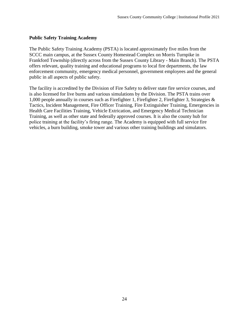#### **Public Safety Training Academy**

The Public Safety Training Academy (PSTA) is located approximately five miles from the SCCC main campus, at the Sussex County Homestead Complex on Morris Turnpike in Frankford Township (directly across from the Sussex County Library - Main Branch). The PSTA offers relevant, quality training and educational programs to local fire departments, the law enforcement community, emergency medical personnel, government employees and the general public in all aspects of public safety.

The facility is accredited by the Division of Fire Safety to deliver state fire service courses, and is also licensed for live burns and various simulations by the Division. The PSTA trains over 1,000 people annually in courses such as Firefighter 1, Firefighter 2, Firefighter 3, Strategies & Tactics, Incident Management, Fire Officer Training, Fire Extinguisher Training, Emergencies in Health Care Facilities Training, Vehicle Extrication, and Emergency Medical Technician Training, as well as other state and federally approved courses. It is also the county hub for police training at the facility's firing range. The Academy is equipped with full service fire vehicles, a burn building, smoke tower and various other training buildings and simulators.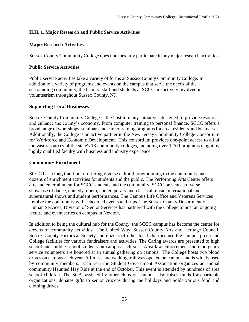# **II.H. 1. Major Research and Public Service Activities**

#### **Major Research Activities**

Sussex County Community College does not currently participate in any major research activities.

#### **Public Service Activities**

Public service activities take a variety of forms at Sussex County Community College. In addition to a variety of programs and events on the campus that serve the needs of the surrounding community, the faculty, staff and students at SCCC are actively involved in volunteerism throughout Sussex County, NJ.

#### **Supporting Local Businesses**

Sussex County Community College is the host to many initiatives designed to provide resources and enhance the county's economy. From computer training to personal finance, SCCC offers a broad range of workshops, seminars and career training programs for area residents and businesses. Additionally, the College is an active partner in the New Jersey Community College Consortium for Workforce and Economic Development. This consortium provides one-point access to all of the vast resources of the state's 18 community colleges, including over 1,700 programs taught by highly qualified faculty with business and industry experience.

#### **Community Enrichment**

SCCC has a long tradition of offering diverse cultural programming to the community and dozens of enrichment activities for students and the public. The Performing Arts Center offers arts and entertainment for SCCC students and the community. SCCC presents a diverse showcase of dance, comedy, opera, contemporary and classical music, international and supernatural shows and student performances. The Campus Life Office and Veterans Services involve the community with scheduled events and trips. The Sussex County Department of Human Services, Division of Senior Services has partnered with the College to host an ongoing lecture and event series on campus in Newton.

In addition to being the cultural hub for the County, the SCCC campus has become the center for dozens of community activities. The United Way, Sussex County Arts and Heritage Council, Sussex County Historical Society and dozens of other local charities use the campus green and College facilities for various fundraisers and activities. The Caring awards are presented to high school and middle school students on campus each year. Area law enforcement and emergency service volunteers are honored at an annual gathering on campus. The College hosts two blood drives on campus each year. A fitness and walking trail was opened on campus and is widely used by community members. Each year the Student Government Association organizes an annual community Haunted Hay Ride at the end of October. This event is attended by hundreds of area school children. The SGA, assisted by other clubs on campus, also raises funds for charitable organizations, donates gifts to senior citizens during the holidays and holds various food and clothing drives.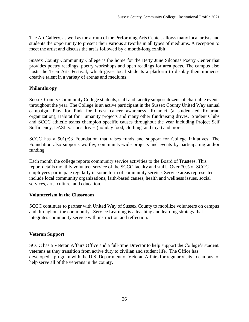The Art Gallery, as well as the atrium of the Performing Arts Center, allows many local artists and students the opportunity to present their various artworks in all types of mediums. A reception to meet the artist and discuss the art is followed by a month-long exhibit.

Sussex County Community College is the home for the Betty June Silconas Poetry Center that provides poetry readings, poetry workshops and open readings for area poets. The campus also hosts the Teen Arts Festival, which gives local students a platform to display their immense creative talent in a variety of arenas and mediums.

# **Philanthropy**

Sussex County Community College students, staff and faculty support dozens of charitable events throughout the year. The College is an active participant in the Sussex County United Way annual campaign, Play for Pink for breast cancer awareness, Rotaract (a student-led Rotarian organization), Habitat for Humanity projects and many other fundraising drives. Student Clubs and SCCC athletic teams champion specific causes throughout the year including Project Self Sufficiency, DASI, various drives (holiday food, clothing, and toys) and more.

SCCC has a 501(c)3 Foundation that raises funds and support for College initiatives. The Foundation also supports worthy, community-wide projects and events by participating and/or funding.

Each month the college reports community service activities to the Board of Trustees. This report details monthly volunteer service of the SCCC faculty and staff. Over 70% of SCCC employees participate regularly in some form of community service. Service areas represented include local community organizations, faith-based causes, health and wellness issues, social services, arts, culture, and education.

# **Volunteerism in the Classroom**

SCCC continues to partner with United Way of Sussex County to mobilize volunteers on campus and throughout the community. Service Learning is a teaching and learning strategy that integrates community service with instruction and reflection.

# **Veteran Support**

SCCC has a Veteran Affairs Office and a full-time Director to help support the College's student veterans as they transition from active duty to civilian and student life. The Office has developed a program with the U.S. Department of Veteran Affairs for regular visits to campus to help serve all of the veterans in the county.